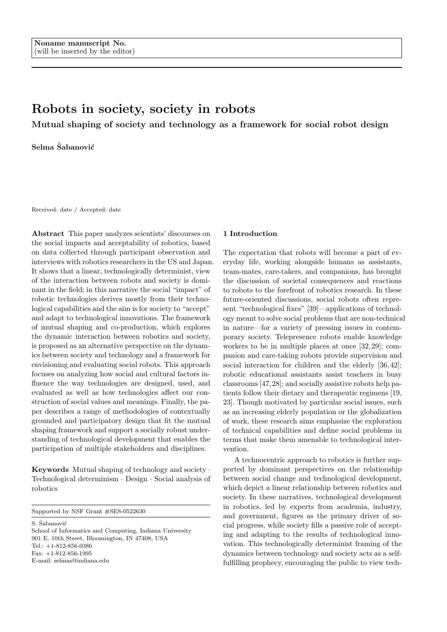# Robots in society, society in robots

Mutual shaping of society and technology as a framework for social robot design

Selma Šabanović

Received: date / Accepted: date

Abstract This paper analyzes scientists' discourses on the social impacts and acceptability of robotics, based on data collected through participant observation and interviews with robotics researchers in the US and Japan. It shows that a linear, technologically determinist, view of the interaction between robots and society is dominant in the field; in this narrative the social "impact" of robotic technologies derives mostly from their technological capabilities and the aim is for society to "accept" and adapt to technological innovations. The framework of mutual shaping and co-production, which explores the dynamic interaction between robotics and society, is proposed as an alternative perspective on the dynamics between society and technology and a framework for envisioning and evaluating social robots. This approach focuses on analyzing how social and cultural factors influence the way technologies are designed, used, and evaluated as well as how technologies affect our construction of social values and meanings. Finally, the paper describes a range of methodologies of contextually grounded and participatory design that fit the mutual shaping framework and support a socially robust understanding of technological development that enables the participation of multiple stakeholders and disciplines.

Keywords Mutual shaping of technology and society · Technological determinism · Design · Social analysis of robotics

Supported by NSF Grant #SES-0522630

S. Šabanović

School of Informatics and Computing, Indiana University 901 E. 10th Street, Bloomington, IN 47408, USA Tel.: +1-812-856-0386 Fax: +1-812-856-1995 E-mail: selmas@indiana.edu

## 1 Introduction

The expectation that robots will become a part of everyday life, working alongside humans as assistants, team-mates, care-takers, and companions, has brought the discussion of societal consequences and reactions to robots to the forefront of robotics research. In these future-oriented discussions, social robots often represent "technological fixes" [39]—applications of technology meant to solve social problems that are non-technical in nature—for a variety of pressing issues in contemporary society. Telepresence robots enable knowledge workers to be in multiple places at once [32, 29]; companion and care-taking robots provide supervision and social interaction for children and the elderly [36,42]; robotic educational assistants assist teachers in busy classrooms [47, 28]; and socially assistive robots help patients follow their dietary and therapeutic regimens [19, 23]. Though motivated by particular social issues, such as an increasing elderly population or the globalization of work, these research aims emphasize the exploration of technical capabilities and define social problems in terms that make them amenable to technological intervention.

A technocentric approach to robotics is further supported by dominant perspectives on the relationship between social change and technological development, which depict a linear relationship between robotics and society. In these narratives, technological development in robotics, led by experts from academia, industry, and government, figures as the primary driver of social progress, while society fills a passive role of accepting and adapting to the results of technological innovation. This technologically determinist framing of the dynamics between technology and society acts as a selffulfilling prophecy, encouraging the public to view tech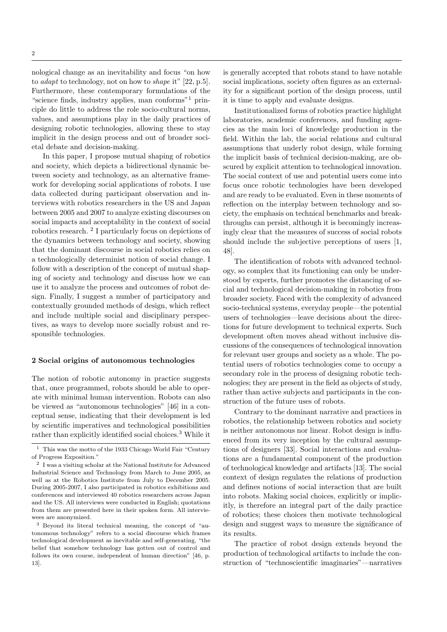nological change as an inevitability and focus "on how to adapt to technology, not on how to shape it" [22, p.5]. Furthermore, these contemporary formulations of the "science finds, industry applies, man conforms"<sup>1</sup> principle do little to address the role socio-cultural norms, values, and assumptions play in the daily practices of designing robotic technologies, allowing these to stay implicit in the design process and out of broader societal debate and decision-making.

In this paper, I propose mutual shaping of robotics and society, which depicts a bidirectional dynamic between society and technology, as an alternative framework for developing social applications of robots. I use data collected during participant observation and interviews with robotics researchers in the US and Japan between 2005 and 2007 to analyze existing discourses on social impacts and acceptability in the context of social robotics research. <sup>2</sup> I particularly focus on depictions of the dynamics between technology and society, showing that the dominant discourse in social robotics relies on a technologically determinist notion of social change. I follow with a description of the concept of mutual shaping of society and technology and discuss how we can use it to analyze the process and outcomes of robot design. Finally, I suggest a number of participatory and contextually grounded methods of design, which reflect and include multiple social and disciplinary perspectives, as ways to develop more socially robust and responsible technologies.

### 2 Social origins of autonomous technologies

The notion of robotic autonomy in practice suggests that, once programmed, robots should be able to operate with minimal human intervention. Robots can also be viewed as "autonomous technologies" [46] in a conceptual sense, indicating that their development is led by scientific imperatives and technological possibilities rather than explicitly identified social choices.<sup>3</sup> While it is generally accepted that robots stand to have notable social implications, society often figures as an externality for a significant portion of the design process, until it is time to apply and evaluate designs.

Institutionalized forms of robotics practice highlight laboratories, academic conferences, and funding agencies as the main loci of knowledge production in the field. Within the lab, the social relations and cultural assumptions that underly robot design, while forming the implicit basis of technical decision-making, are obscured by explicit attention to technological innovation. The social context of use and potential users come into focus once robotic technologies have been developed and are ready to be evaluated. Even in these moments of reflection on the interplay between technology and society, the emphasis on technical benchmarks and breakthroughs can persist, although it is becomingly increasingly clear that the measures of success of social robots should include the subjective perceptions of users [1, 48].

The identification of robots with advanced technology, so complex that its functioning can only be understood by experts, further promotes the distancing of social and technological decision-making in robotics from broader society. Faced with the complexity of advanced socio-technical systems, everyday people—the potential users of technologies—leave decisions about the directions for future development to technical experts. Such development often moves ahead without inclusive discussions of the consequences of technological innovation for relevant user groups and society as a whole. The potential users of robotics technologies come to occupy a secondary role in the process of designing robotic technologies; they are present in the field as objects of study, rather than active subjects and participants in the construction of the future uses of robots.

Contrary to the dominant narrative and practices in robotics, the relationship between robotics and society is neither autonomous nor linear. Robot design is influenced from its very inception by the cultural assumptions of designers [33]. Social interactions and evaluations are a fundamental component of the production of technological knowledge and artifacts [13]. The social context of design regulates the relations of production and defines notions of social interaction that are built into robots. Making social choices, explicitly or implicitly, is therefore an integral part of the daily practice of robotics; these choices then motivate technological design and suggest ways to measure the significance of its results.

The practice of robot design extends beyond the production of technological artifacts to include the construction of "technoscientific imaginaries"—narratives

<sup>1</sup> This was the motto of the 1933 Chicago World Fair "Century of Progress Exposition."

<sup>2</sup> I was a visiting scholar at the National Institute for Advanced Industrial Science and Technology from March to June 2005, as well as at the Robotics Institute from July to December 2005. During 2005-2007, I also participated in robotics exhibitions and conferences and interviewed 40 robotics researchers across Japan and the US. All interviews were conducted in English; quotations from them are presented here in their spoken form. All interviewees are anonymized.

<sup>3</sup> Beyond its literal technical meaning, the concept of "autonomous technology" refers to a social discourse which frames technological development as inevitable and self-generating, "the belief that somehow technology has gotten out of control and follows its own course, independent of human direction" [46, p. 13].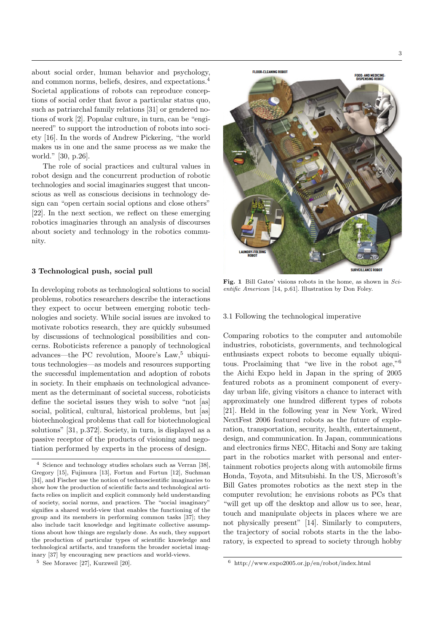about social order, human behavior and psychology, and common norms, beliefs, desires, and expectations.<sup>4</sup> Societal applications of robots can reproduce conceptions of social order that favor a particular status quo, such as patriarchal family relations [31] or gendered notions of work [2]. Popular culture, in turn, can be "engineered" to support the introduction of robots into society [16]. In the words of Andrew Pickering, "the world makes us in one and the same process as we make the world." [30, p.26].

The role of social practices and cultural values in robot design and the concurrent production of robotic technologies and social imaginaries suggest that unconscious as well as conscious decisions in technology design can "open certain social options and close others" [22]. In the next section, we reflect on these emerging robotics imaginaries through an analysis of discourses about society and technology in the robotics community.

## 3 Technological push, social pull

In developing robots as technological solutions to social problems, robotics researchers describe the interactions they expect to occur between emerging robotic technologies and society. While social issues are invoked to motivate robotics research, they are quickly subsumed by discussions of technological possibilities and concerns. Roboticists reference a panoply of technological advances—the PC revolution, Moore's Law, $5$  ubiquitous technologies—as models and resources supporting the successful implementation and adoption of robots in society. In their emphasis on technological advancement as the determinant of societal success, roboticists define the societal issues they wish to solve "not [as] social, political, cultural, historical problems, but [as] biotechnological problems that call for biotechnological solutions" [31, p.372]. Society, in turn, is displayed as a passive receptor of the products of visioning and negotiation performed by experts in the process of design.



Fig. 1 Bill Gates' visions robots in the home, as shown in Scientific American [14, p.61]. Illustration by Don Foley.

## 3.1 Following the technological imperative

Comparing robotics to the computer and automobile industries, roboticists, governments, and technological enthusiasts expect robots to become equally ubiquitous. Proclaiming that "we live in the robot age,"<sup>6</sup> the Aichi Expo held in Japan in the spring of 2005 featured robots as a prominent component of everyday urban life, giving visitors a chance to interact with approximately one hundred different types of robots [21]. Held in the following year in New York, Wired NextFest 2006 featured robots as the future of exploration, transportation, security, health, entertainment, design, and communication. In Japan, communications and electronics firms NEC, Hitachi and Sony are taking part in the robotics market with personal and entertainment robotics projects along with automobile firms Honda, Toyota, and Mitsubishi. In the US, Microsoft's Bill Gates promotes robotics as the next step in the computer revolution; he envisions robots as PCs that "will get up off the desktop and allow us to see, hear, touch and manipulate objects in places where we are not physically present" [14]. Similarly to computers, the trajectory of social robots starts in the the laboratory, is expected to spread to society through hobby

<sup>4</sup> Science and technology studies scholars such as Verran [38], Gregory [15], Fujimura [13], Fortun and Fortun [12], Suchman [34], and Fischer use the notion of technoscientific imaginaries to show how the production of scientific facts and technological artifacts relies on implicit and explicit commonly held understanding of society, social norms, and practices. The "social imaginary" signifies a shared world-view that enables the functioning of the group and its members in performing common tasks [37]; they also include tacit knowledge and legitimate collective assumptions about how things are regularly done. As such, they support the production of particular types of scientific knowledge and technological artifacts, and transform the broader societal imaginary [37] by encouraging new practices and world-views.

<sup>5</sup> See Moravec [27], Kurzweil [20].

<sup>6</sup> http://www.expo2005.or.jp/en/robot/index.html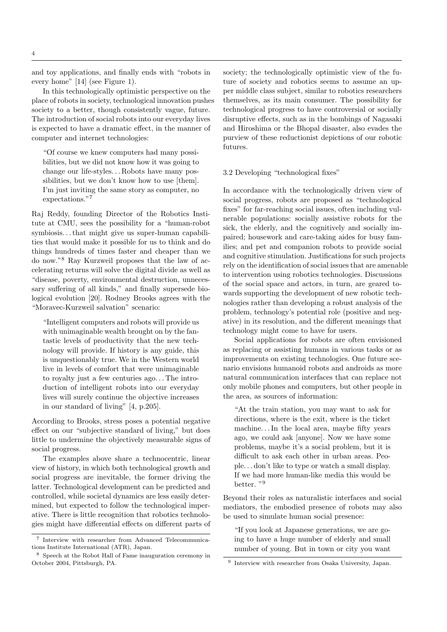and toy applications, and finally ends with "robots in every home" [14] (see Figure 1).

In this technologically optimistic perspective on the place of robots in society, technological innovation pushes society to a better, though consistently vague, future. The introduction of social robots into our everyday lives is expected to have a dramatic effect, in the manner of computer and internet technologies:

"Of course we knew computers had many possibilities, but we did not know how it was going to change our life-styles. . . Robots have many possibilities, but we don't know how to use [them]. I'm just inviting the same story as computer, no expectations."<sup>7</sup>

Raj Reddy, founding Director of the Robotics Institute at CMU, sees the possibility for a "human-robot symbiosis. . . that might give us super-human capabilities that would make it possible for us to think and do things hundreds of times faster and cheaper than we do now."<sup>8</sup> Ray Kurzweil proposes that the law of accelerating returns will solve the digital divide as well as "disease, poverty, environmental destruction, unnecessary suffering of all kinds," and finally supersede biological evolution [20]. Rodney Brooks agrees with the "Moravec-Kurzweil salvation" scenario:

"Intelligent computers and robots will provide us with unimaginable wealth brought on by the fantastic levels of productivity that the new technology will provide. If history is any guide, this is unquestionably true. We in the Western world live in levels of comfort that were unimaginable to royalty just a few centuries ago. . . The introduction of intelligent robots into our everyday lives will surely continue the objective increases in our standard of living" [4, p.205].

According to Brooks, stress poses a potential negative effect on our "subjective standard of living," but does little to undermine the objectively measurable signs of social progress.

The examples above share a technocentric, linear view of history, in which both technological growth and social progress are inevitable, the former driving the latter. Technological development can be predicted and controlled, while societal dynamics are less easily determined, but expected to follow the technological imperative. There is little recognition that robotics technologies might have differential effects on different parts of society; the technologically optimistic view of the future of society and robotics seems to assume an upper middle class subject, similar to robotics researchers themselves, as its main consumer. The possibility for technological progress to have controversial or socially disruptive effects, such as in the bombings of Nagasaki and Hiroshima or the Bhopal disaster, also evades the purview of these reductionist depictions of our robotic futures.

### 3.2 Developing "technological fixes"

In accordance with the technologically driven view of social progress, robots are proposed as "technological fixes" for far-reaching social issues, often including vulnerable populations: socially assistive robots for the sick, the elderly, and the cognitively and socially impaired; housework and care-taking aides for busy families; and pet and companion robots to provide social and cognitive stimulation. Justifications for such projects rely on the identification of social issues that are amenable to intervention using robotics technologies. Discussions of the social space and actors, in turn, are geared towards supporting the development of new robotic technologies rather than developing a robust analysis of the problem, technology's potential role (positive and negative) in its resolution, and the different meanings that technology might come to have for users.

Social applications for robots are often envisioned as replacing or assisting humans in various tasks or as improvements on existing technologies. One future scenario envisions humanoid robots and androids as more natural communication interfaces that can replace not only mobile phones and computers, but other people in the area, as sources of information:

"At the train station, you may want to ask for directions, where is the exit, where is the ticket machine. . . In the local area, maybe fifty years ago, we could ask [anyone]. Now we have some problems, maybe it's a social problem, but it is difficult to ask each other in urban areas. People. . . don't like to type or watch a small display. If we had more human-like media this would be better. "9

Beyond their roles as naturalistic interfaces and social mediators, the embodied presence of robots may also be used to simulate human social presence:

"If you look at Japanese generations, we are going to have a huge number of elderly and small number of young. But in town or city you want

<sup>7</sup> Interview with researcher from Advanced Telecommunications Institute International (ATR), Japan.

<sup>8</sup> Speech at the Robot Hall of Fame inauguration ceremony in October 2004, Pittsburgh, PA.

<sup>9</sup> Interview with researcher from Osaka University, Japan.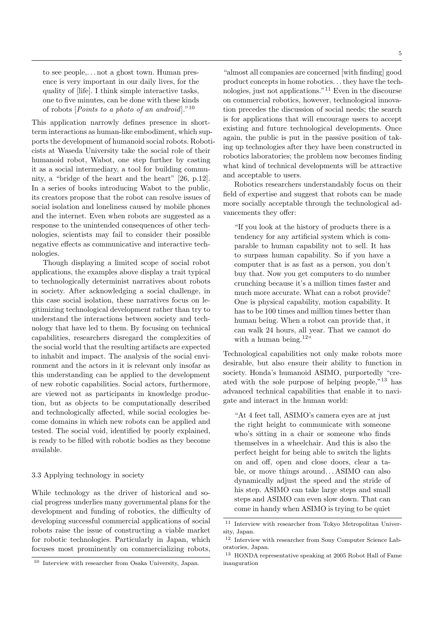to see people,. . . not a ghost town. Human presence is very important in our daily lives, for the quality of [life]. I think simple interactive tasks, one to five minutes, can be done with these kinds of robots [*Points to a photo of an android*]."<sup>10</sup>

This application narrowly defines presence in shortterm interactions as human-like embodiment, which supports the development of humanoid social robots. Roboticists at Waseda University take the social role of their humanoid robot, Wabot, one step further by casting it as a social intermediary, a tool for building community, a "bridge of the heart and the heart" [26, p.12]. In a series of books introducing Wabot to the public, its creators propose that the robot can resolve issues of social isolation and loneliness caused by mobile phones and the internet. Even when robots are suggested as a response to the unintended consequences of other technologies, scientists may fail to consider their possible negative effects as communicative and interactive technologies.

Though displaying a limited scope of social robot applications, the examples above display a trait typical to technologically determinist narratives about robots in society. After acknowledging a social challenge, in this case social isolation, these narratives focus on legitimizing technological development rather than try to understand the interactions between society and technology that have led to them. By focusing on technical capabilities, researchers disregard the complexities of the social world that the resulting artifacts are expected to inhabit and impact. The analysis of the social environment and the actors in it is relevant only insofar as this understanding can be applied to the development of new robotic capabilities. Social actors, furthermore, are viewed not as participants in knowledge production, but as objects to be computationally described and technologically affected, while social ecologies become domains in which new robots can be applied and tested. The social void, identified by poorly explained, is ready to be filled with robotic bodies as they become available.

## 3.3 Applying technology in society

While technology as the driver of historical and social progress underlies many governmental plans for the development and funding of robotics, the difficulty of developing successful commercial applications of social robots raise the issue of constructing a viable market for robotic technologies. Particularly in Japan, which focuses most prominently on commercializing robots,

"almost all companies are concerned [with finding] good product concepts in home robotics. . . they have the technologies, just not applications."<sup>11</sup> Even in the discourse on commercial robotics, however, technological innovation precedes the discussion of social needs; the search is for applications that will encourage users to accept existing and future technological developments. Once again, the public is put in the passive position of taking up technologies after they have been constructed in robotics laboratories; the problem now becomes finding what kind of technical developments will be attractive and acceptable to users.

Robotics researchers understandably focus on their field of expertise and suggest that robots can be made more socially acceptable through the technological advancements they offer:

"If you look at the history of products there is a tendency for any artificial system which is comparable to human capability not to sell. It has to surpass human capability. So if you have a computer that is as fast as a person, you don't buy that. Now you get computers to do number crunching because it's a million times faster and much more accurate. What can a robot provide? One is physical capability, motion capability. It has to be 100 times and million times better than human being. When a robot can provide that, it can walk 24 hours, all year. That we cannot do with a human being.<sup>12"</sup>

Technological capabilities not only make robots more desirable, but also ensure their ability to function in society. Honda's humanoid ASIMO, purportedly "created with the sole purpose of helping people,"<sup>13</sup> has advanced technical capabilities that enable it to navigate and interact in the human world:

"At 4 feet tall, ASIMO's camera eyes are at just the right height to communicate with someone who's sitting in a chair or someone who finds themselves in a wheelchair. And this is also the perfect height for being able to switch the lights on and off, open and close doors, clear a table, or move things around. . . ASIMO can also dynamically adjust the speed and the stride of his step. ASIMO can take large steps and small steps and ASIMO can even slow down. That can come in handy when ASIMO is trying to be quiet

<sup>10</sup> Interview with researcher from Osaka University, Japan.

 $^\mathrm{11}$  Interview with researcher from Tokyo Metropolitan University, Japan.

<sup>12</sup> Interview with researcher from Sony Computer Science Laboratories, Japan.

<sup>13</sup> HONDA representative speaking at 2005 Robot Hall of Fame inauguration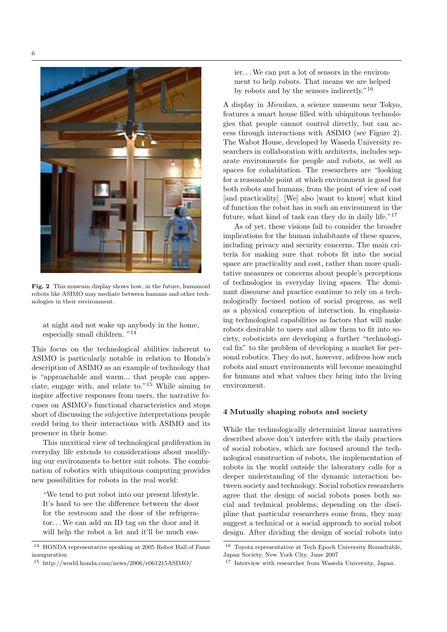

Fig. 2 This museum display shows how, in the future, humanoid robots like ASIMO may mediate between humans and other technologies in their environment.

at night and not wake up anybody in the home, especially small children. "<sup>14</sup>

This focus on the technological abilities inherent to ASIMO is particularly notable in relation to Honda's description of ASIMO as an example of technology that is "approachable and warm... that people can appreciate, engage with, and relate to."<sup>15</sup> While aiming to inspire affective responses from users, the narrative focuses on ASIMO's functional characteristics and stops short of discussing the subjective interpretations people could bring to their interactions with ASIMO and its presence in their home.

This uncritical view of technological proliferation in everyday life extends to considerations about modifying our environments to better suit robots. The combination of robotics with ubiquitous computing provides new possibilities for robots in the real world:

"We tend to put robot into our present lifestyle. It's hard to see the difference between the door for the restroom and the door of the refrigerator. . .We can add an ID tag on the door and it will help the robot a lot and it'll be much easier. . .We can put a lot of sensors in the environment to help robots. That means we are helped by robots and by the sensors indirectly."<sup>16</sup>

A display in Miraikan, a science museum near Tokyo, features a smart house filled with ubiquitous technologies that people cannot control directly, but can access through interactions with ASIMO (see Figure 2). The Wabot House, developed by Waseda University researchers in collaboration with architects, includes separate environments for people and robots, as well as spaces for cohabitation. The researchers are "looking for a reasonable point at which environment is good for both robots and humans, from the point of view of cost [and practicality]. [We] also [want to know] what kind of function the robot has in such an environment in the future, what kind of task can they do in daily life."<sup>17</sup>

As of yet, these visions fail to consider the broader implications for the human inhabitants of these spaces, including privacy and security concerns. The main criteria for making sure that robots fit into the social space are practicality and cost, rather than more qualitative measures or concerns about people's perceptions of technologies in everyday living spaces. The dominant discourse and practice continue to rely on a technologically focused notion of social progress, as well as a physical conception of interaction. In emphasizing technological capabilities as factors that will make robots desirable to users and allow them to fit into society, roboticists are developing a further "technological fix" to the problem of developing a market for personal robotics. They do not, however, address how such robots and smart environments will become meaningful for humans and what values they bring into the living environment.

#### 4 Mutually shaping robots and society

While the technologically determinist linear narratives described above don't interfere with the daily practices of social robotics, which are focused around the technological construction of robots, the implementation of robots in the world outside the laboratory calls for a deeper understanding of the dynamic interaction between society and technology. Social robotics researchers agree that the design of social robots poses both social and technical problems; depending on the discipline that particular researchers come from, they may suggest a technical or a social approach to social robot design. After dividing the design of social robots into

<sup>14</sup> HONDA representative speaking at 2005 Robot Hall of Fame inauguration

<sup>15</sup> http://world.honda.com/news/2006/c061215ASIMO/

<sup>16</sup> Toyota representative at Tech Epoch University Roundtable, Japan Society, New York City, June 2007

<sup>17</sup> Interview with researcher from Waseda University, Japan.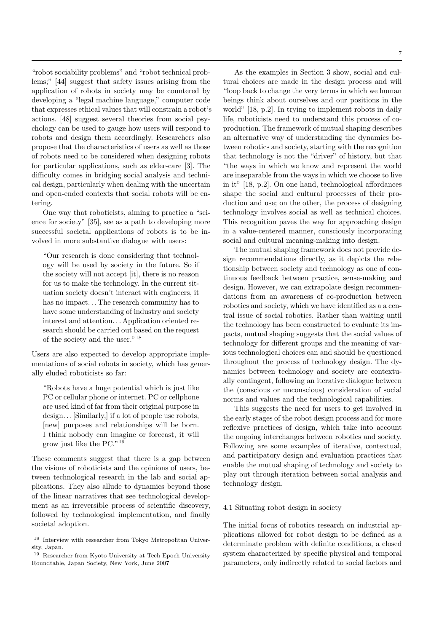"robot sociability problems" and "robot technical problems;" [44] suggest that safety issues arising from the application of robots in society may be countered by developing a "legal machine language," computer code that expresses ethical values that will constrain a robot's actions. [48] suggest several theories from social psychology can be used to gauge how users will respond to robots and design them accordingly. Researchers also propose that the characteristics of users as well as those of robots need to be considered when designing robots for particular applications, such as elder-care [3]. The difficulty comes in bridging social analysis and technical design, particularly when dealing with the uncertain and open-ended contexts that social robots will be entering.

One way that roboticists, aiming to practice a "science for society" [35], see as a path to developing more successful societal applications of robots is to be involved in more substantive dialogue with users:

"Our research is done considering that technology will be used by society in the future. So if the society will not accept [it], there is no reason for us to make the technology. In the current situation society doesn't interact with engineers, it has no impact... The research community has to have some understanding of industry and society interest and attention. . . Application oriented research should be carried out based on the request of the society and the user."<sup>18</sup>

Users are also expected to develop appropriate implementations of social robots in society, which has generally eluded roboticists so far:

"Robots have a huge potential which is just like PC or cellular phone or internet. PC or cellphone are used kind of far from their original purpose in design. . . [Similarly,] if a lot of people use robots, [new] purposes and relationships will be born. I think nobody can imagine or forecast, it will grow just like the PC."<sup>19</sup>

These comments suggest that there is a gap between the visions of roboticists and the opinions of users, between technological research in the lab and social applications. They also allude to dynamics beyond those of the linear narratives that see technological development as an irreversible process of scientific discovery, followed by technological implementation, and finally societal adoption.

7

As the examples in Section 3 show, social and cultural choices are made in the design process and will "loop back to change the very terms in which we human beings think about ourselves and our positions in the world" [18, p.2]. In trying to implement robots in daily life, roboticists need to understand this process of coproduction. The framework of mutual shaping describes an alternative way of understanding the dynamics between robotics and society, starting with the recognition that technology is not the "driver" of history, but that "the ways in which we know and represent the world are inseparable from the ways in which we choose to live in it" [18, p.2]. On one hand, technological affordances shape the social and cultural processes of their production and use; on the other, the process of designing technology involves social as well as technical choices. This recognition paves the way for approaching design in a value-centered manner, consciously incorporating social and cultural meaning-making into design.

The mutual shaping framework does not provide design recommendations directly, as it depicts the relationship between society and technology as one of continuous feedback between practice, sense-making and design. However, we can extrapolate design recommendations from an awareness of co-production between robotics and society, which we have identified as a a central issue of social robotics. Rather than waiting until the technology has been constructed to evaluate its impacts, mutual shaping suggests that the social values of technology for different groups and the meaning of various technological choices can and should be questioned throughout the process of technology design. The dynamics between technology and society are contextually contingent, following an iterative dialogue between the (conscious or unconscious) consideration of social norms and values and the technological capabilities.

This suggests the need for users to get involved in the early stages of the robot design process and for more reflexive practices of design, which take into account the ongoing interchanges between robotics and society. Following are some examples of iterative, contextual, and participatory design and evaluation practices that enable the mutual shaping of technology and society to play out through iteration between social analysis and technology design.

## 4.1 Situating robot design in society

The initial focus of robotics research on industrial applications allowed for robot design to be defined as a determinate problem with definite conditions, a closed system characterized by specific physical and temporal parameters, only indirectly related to social factors and

 $^{18}\,$  Interview with researcher from Tokyo Metropolitan University, Japan.

<sup>19</sup> Researcher from Kyoto University at Tech Epoch University Roundtable, Japan Society, New York, June 2007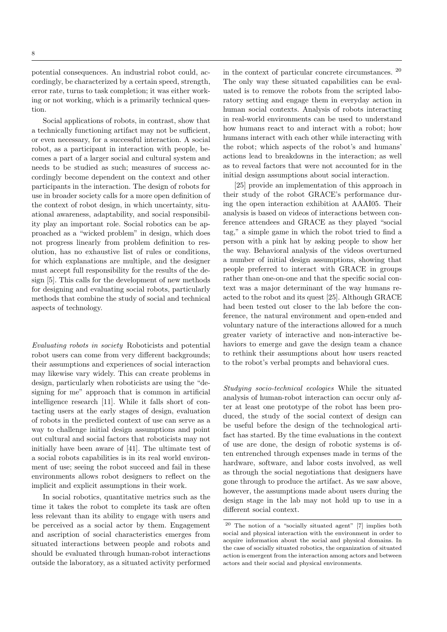potential consequences. An industrial robot could, accordingly, be characterized by a certain speed, strength, error rate, turns to task completion; it was either working or not working, which is a primarily technical question.

Social applications of robots, in contrast, show that a technically functioning artifact may not be sufficient, or even necessary, for a successful interaction. A social robot, as a participant in interaction with people, becomes a part of a larger social and cultural system and needs to be studied as such; measures of success accordingly become dependent on the context and other participants in the interaction. The design of robots for use in broader society calls for a more open definition of the context of robot design, in which uncertainty, situational awareness, adaptability, and social responsibility play an important role. Social robotics can be approached as a "wicked problem" in design, which does not progress linearly from problem definition to resolution, has no exhaustive list of rules or conditions, for which explanations are multiple, and the designer must accept full responsibility for the results of the design [5]. This calls for the development of new methods for designing and evaluating social robots, particularly methods that combine the study of social and technical aspects of technology.

Evaluating robots in society Roboticists and potential robot users can come from very different backgrounds; their assumptions and experiences of social interaction may likewise vary widely. This can create problems in design, particularly when roboticists are using the "designing for me" approach that is common in artificial intelligence research [11]. While it falls short of contacting users at the early stages of design, evaluation of robots in the predicted context of use can serve as a way to challenge initial design assumptions and point out cultural and social factors that roboticists may not initially have been aware of [41]. The ultimate test of a social robots capabilities is in its real world environment of use; seeing the robot succeed and fail in these environments allows robot designers to reflect on the implicit and explicit assumptions in their work.

In social robotics, quantitative metrics such as the time it takes the robot to complete its task are often less relevant than its ability to engage with users and be perceived as a social actor by them. Engagement and ascription of social characteristics emerges from situated interactions between people and robots and should be evaluated through human-robot interactions outside the laboratory, as a situated activity performed

in the context of particular concrete circumstances. <sup>20</sup> The only way these situated capabilities can be evaluated is to remove the robots from the scripted laboratory setting and engage them in everyday action in human social contexts. Analysis of robots interacting in real-world environments can be used to understand how humans react to and interact with a robot; how humans interact with each other while interacting with the robot; which aspects of the robot's and humans' actions lead to breakdowns in the interaction; as well as to reveal factors that were not accounted for in the initial design assumptions about social interaction.

[25] provide an implementation of this approach in their study of the robot GRACE's performance during the open interaction exhibition at AAAI05. Their analysis is based on videos of interactions between conference attendees and GRACE as they played "social tag," a simple game in which the robot tried to find a person with a pink hat by asking people to show her the way. Behavioral analysis of the videos overturned a number of initial design assumptions, showing that people preferred to interact with GRACE in groups rather than one-on-one and that the specific social context was a major determinant of the way humans reacted to the robot and its quest [25]. Although GRACE had been tested out closer to the lab before the conference, the natural environment and open-ended and voluntary nature of the interactions allowed for a much greater variety of interactive and non-interactive behaviors to emerge and gave the design team a chance to rethink their assumptions about how users reacted to the robot's verbal prompts and behavioral cues.

Studying socio-technical ecologies While the situated analysis of human-robot interaction can occur only after at least one prototype of the robot has been produced, the study of the social context of design can be useful before the design of the technological artifact has started. By the time evaluations in the context of use are done, the design of robotic systems is often entrenched through expenses made in terms of the hardware, software, and labor costs involved, as well as through the social negotiations that designers have gone through to produce the artifact. As we saw above, however, the assumptions made about users during the design stage in the lab may not hold up to use in a different social context.

<sup>20</sup> The notion of a "socially situated agent" [7] implies both social and physical interaction with the environment in order to acquire information about the social and physical domains. In the case of socially situated robotics, the organization of situated action is emergent from the interaction among actors and between actors and their social and physical environments.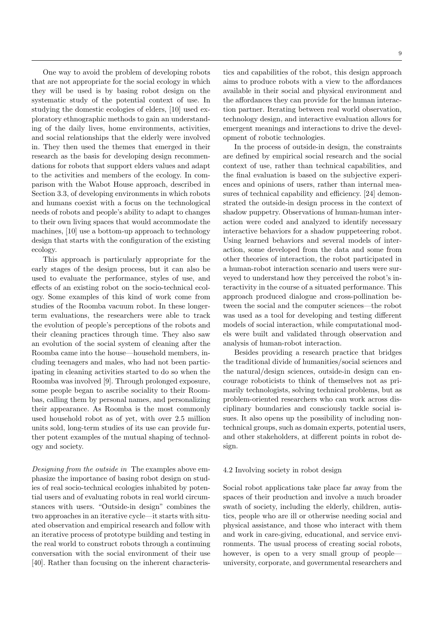One way to avoid the problem of developing robots that are not appropriate for the social ecology in which they will be used is by basing robot design on the systematic study of the potential context of use. In studying the domestic ecologies of elders, [10] used exploratory ethnographic methods to gain an understanding of the daily lives, home environments, activities, and social relationships that the elderly were involved in. They then used the themes that emerged in their research as the basis for developing design recommendations for robots that support elders values and adapt to the activities and members of the ecology. In comparison with the Wabot House approach, described in Section 3.3, of developing environments in which robots and humans coexist with a focus on the technological needs of robots and people's ability to adapt to changes to their own living spaces that would accommodate the machines, [10] use a bottom-up approach to technology design that starts with the configuration of the existing ecology.

This approach is particularly appropriate for the early stages of the design process, but it can also be used to evaluate the performance, styles of use, and effects of an existing robot on the socio-technical ecology. Some examples of this kind of work come from studies of the Roomba vacuum robot. In these longerterm evaluations, the researchers were able to track the evolution of people's perceptions of the robots and their cleaning practices through time. They also saw an evolution of the social system of cleaning after the Roomba came into the house—household members, including teenagers and males, who had not been participating in cleaning activities started to do so when the Roomba was involved [9]. Through prolonged exposure, some people began to ascribe sociality to their Roombas, calling them by personal names, and personalizing their appearance. As Roomba is the most commonly used household robot as of yet, with over 2.5 million units sold, long-term studies of its use can provide further potent examples of the mutual shaping of technology and society.

Designing from the outside in The examples above emphasize the importance of basing robot design on studies of real socio-technical ecologies inhabited by potential users and of evaluating robots in real world circumstances with users. "Outside-in design" combines the two approaches in an iterative cycle—it starts with situated observation and empirical research and follow with an iterative process of prototype building and testing in the real world to construct robots through a continuing conversation with the social environment of their use [40]. Rather than focusing on the inherent characteris-

tics and capabilities of the robot, this design approach aims to produce robots with a view to the affordances available in their social and physical environment and the affordances they can provide for the human interaction partner. Iterating between real world observation, technology design, and interactive evaluation allows for emergent meanings and interactions to drive the development of robotic technologies.

In the process of outside-in design, the constraints are defined by empirical social research and the social context of use, rather than technical capabilities, and the final evaluation is based on the subjective experiences and opinions of users, rather than internal measures of technical capability and efficiency. [24] demonstrated the outside-in design process in the context of shadow puppetry. Observations of human-human interaction were coded and analyzed to identify necessary interactive behaviors for a shadow puppeteering robot. Using learned behaviors and several models of interaction, some developed from the data and some from other theories of interaction, the robot participated in a human-robot interaction scenario and users were surveyed to understand how they perceived the robot's interactivity in the course of a situated performance. This approach produced dialogue and cross-pollination between the social and the computer sciences—the robot was used as a tool for developing and testing different models of social interaction, while computational models were built and validated through observation and analysis of human-robot interaction.

Besides providing a research practice that bridges the traditional divide of humanities/social sciences and the natural/design sciences, outside-in design can encourage roboticists to think of themselves not as primarily technologists, solving technical problems, but as problem-oriented researchers who can work across disciplinary boundaries and consciously tackle social issues. It also opens up the possibility of including nontechnical groups, such as domain experts, potential users, and other stakeholders, at different points in robot design.

#### 4.2 Involving society in robot design

Social robot applications take place far away from the spaces of their production and involve a much broader swath of society, including the elderly, children, autistics, people who are ill or otherwise needing social and physical assistance, and those who interact with them and work in care-giving, educational, and service environments. The usual process of creating social robots, however, is open to a very small group of peopleuniversity, corporate, and governmental researchers and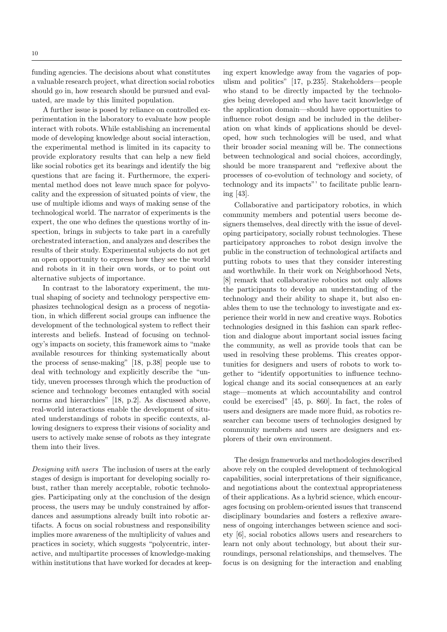funding agencies. The decisions about what constitutes a valuable research project, what direction social robotics should go in, how research should be pursued and evaluated, are made by this limited population.

A further issue is posed by reliance on controlled experimentation in the laboratory to evaluate how people interact with robots. While establishing an incremental mode of developing knowledge about social interaction, the experimental method is limited in its capacity to provide exploratory results that can help a new field like social robotics get its bearings and identify the big questions that are facing it. Furthermore, the experimental method does not leave much space for polyvocality and the expression of situated points of view, the use of multiple idioms and ways of making sense of the technological world. The narrator of experiments is the expert, the one who defines the questions worthy of inspection, brings in subjects to take part in a carefully orchestrated interaction, and analyzes and describes the results of their study. Experimental subjects do not get an open opportunity to express how they see the world and robots in it in their own words, or to point out alternative subjects of importance.

In contrast to the laboratory experiment, the mutual shaping of society and technology perspective emphasizes technological design as a process of negotiation, in which different social groups can influence the development of the technological system to reflect their interests and beliefs. Instead of focusing on technology's impacts on society, this framework aims to "make available resources for thinking systematically about the process of sense-making" [18, p.38] people use to deal with technology and explicitly describe the "untidy, uneven processes through which the production of science and technology becomes entangled with social norms and hierarchies" [18, p.2]. As discussed above, real-world interactions enable the development of situated understandings of robots in specific contexts, allowing designers to express their visions of sociality and users to actively make sense of robots as they integrate them into their lives.

Designing with users The inclusion of users at the early stages of design is important for developing socially robust, rather than merely acceptable, robotic technologies. Participating only at the conclusion of the design process, the users may be unduly constrained by affordances and assumptions already built into robotic artifacts. A focus on social robustness and responsibility implies more awareness of the multiplicity of values and practices in society, which suggests "polycentric, interactive, and multipartite processes of knowledge-making within institutions that have worked for decades at keeping expert knowledge away from the vagaries of populism and politics" [17, p.235]. Stakeholders—people who stand to be directly impacted by the technologies being developed and who have tacit knowledge of the application domain—should have opportunities to influence robot design and be included in the deliberation on what kinds of applications should be developed, how such technologies will be used, and what their broader social meaning will be. The connections between technological and social choices, accordingly, should be more transparent and "reflexive about the processes of co-evolution of technology and society, of technology and its impacts"' to facilitate public learning [43].

Collaborative and participatory robotics, in which community members and potential users become designers themselves, deal directly with the issue of developing participatory, socially robust technologies. These participatory approaches to robot design involve the public in the construction of technological artifacts and putting robots to uses that they consider interesting and worthwhile. In their work on Neighborhood Nets, [8] remark that collaborative robotics not only allows the participants to develop an understanding of the technology and their ability to shape it, but also enables them to use the technology to investigate and experience their world in new and creative ways. Robotics technologies designed in this fashion can spark reflection and dialogue about important social issues facing the community, as well as provide tools that can be used in resolving these problems. This creates opportunities for designers and users of robots to work together to "identify opportunities to influence technological change and its social consequences at an early stage—moments at which accountability and control could be exercised" [45, p. 860]. In fact, the roles of users and designers are made more fluid, as robotics researcher can become users of technologies designed by community members and users are designers and explorers of their own environment.

The design frameworks and methodologies described above rely on the coupled development of technological capabilities, social interpretations of their significance, and negotiations about the contextual appropriateness of their applications. As a hybrid science, which encourages focusing on problem-oriented issues that transcend disciplinary boundaries and fosters a reflexive awareness of ongoing interchanges between science and society [6], social robotics allows users and researchers to learn not only about technology, but about their surroundings, personal relationships, and themselves. The focus is on designing for the interaction and enabling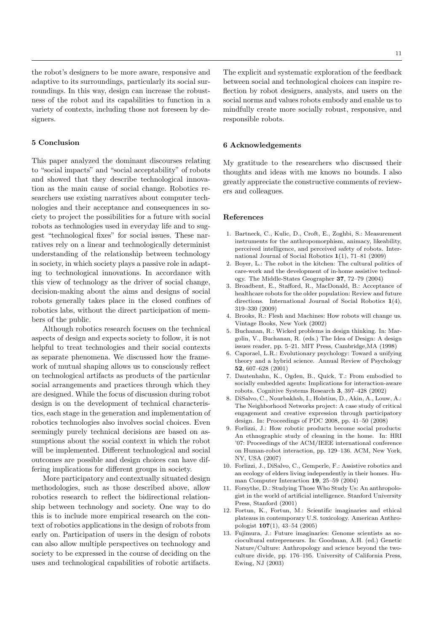the robot's designers to be more aware, responsive and adaptive to its surroundings, particularly its social surroundings. In this way, design can increase the robustness of the robot and its capabilities to function in a variety of contexts, including those not foreseen by designers.

## 5 Conclusion

This paper analyzed the dominant discourses relating to "social impacts" and "social acceptability" of robots and showed that they describe technological innovation as the main cause of social change. Robotics researchers use existing narratives about computer technologies and their acceptance and consequences in society to project the possibilities for a future with social robots as technologies used in everyday life and to suggest "technological fixes" for social issues. These narratives rely on a linear and technologically determinist understanding of the relationship between technology in society, in which society plays a passive role in adapting to technological innovations. In accordance with this view of technology as the driver of social change, decision-making about the aims and designs of social robots generally takes place in the closed confines of robotics labs, without the direct participation of members of the public.

Although robotics research focuses on the technical aspects of design and expects society to follow, it is not helpful to treat technologies and their social contexts as separate phenomena. We discussed how the framework of mutual shaping allows us to consciously reflect on technological artifacts as products of the particular social arrangements and practices through which they are designed. While the focus of discussion during robot design is on the development of technical characteristics, each stage in the generation and implementation of robotics technologies also involves social choices. Even seemingly purely technical decisions are based on assumptions about the social context in which the robot will be implemented. Different technological and social outcomes are possible and design choices can have differing implications for different groups in society.

More participatory and contextually situated design methodologies, such as those described above, allow robotics research to reflect the bidirectional relationship between technology and society. One way to do this is to include more empirical research on the context of robotics applications in the design of robots from early on. Participation of users in the design of robots can also allow multiple perspectives on technology and society to be expressed in the course of deciding on the uses and technological capabilities of robotic artifacts.

11

The explicit and systematic exploration of the feedback between social and technological choices can inspire reflection by robot designers, analysts, and users on the social norms and values robots embody and enable us to mindfully create more socially robust, responsive, and responsible robots.

## 6 Acknowledgements

My gratitude to the researchers who discussed their thoughts and ideas with me knows no bounds. I also greatly appreciate the constructive comments of reviewers and colleagues.

### References

- 1. Bartneck, C., Kulic, D., Croft, E., Zoghbi, S.: Measurement instruments for the anthropomorphism, animacy, likeability, perceived intelligence, and perceived safety of robots. International Journal of Social Robotics  $1(1)$ , 71–81 (2009)
- 2. Boyer, L.: The robot in the kitchen: The cultural politics of care-work and the development of in-home assistive technology. The Middle-States Geographer 37, 72–79 (2004)
- 3. Broadbent, E., Stafford, R., MacDonald, B.: Acceptance of healthcare robots for the older population: Review and future directions. International Journal of Social Robotics 1(4), 319–330 (2009)
- 4. Brooks, R.: Flesh and Machines: How robots will change us. Vintage Books, New York (2002)
- 5. Buchanan, R.: Wicked problems in design thinking. In: Margolin, V., Buchanan, R. (eds.) The Idea of Design: A design issues reader, pp. 5–21. MIT Press, Cambridge,MA (1998)
- 6. Caporael, L.R.: Evolutionary psychology: Toward a unifying theory and a hybrid science. Annual Review of Psychology 52, 607–628 (2001)
- 7. Dautenhahn, K., Ogden, B., Quick, T.: From embodied to socially embedded agents: Implications for interaction-aware robots. Cognitive Systems Research 3, 397–428 (2002)
- 8. DiSalvo, C., Nourbakhsh, I., Holstius, D., Akin, A., Louw, A.: The Neighborhood Networks project: A case study of critical engagement and creative expression through participatory design. In: Proceedings of PDC 2008, pp. 41–50 (2008)
- 9. Forlizzi, J.: How robotic products become social products: An ethnographic study of cleaning in the home. In: HRI '07: Proceedings of the ACM/IEEE international conference on Human-robot interaction, pp. 129–136. ACM, New York, NY, USA (2007)
- 10. Forlizzi, J., DiSalvo, C., Gemperle, F.: Assistive robotics and an ecology of elders living independently in their homes. Human Computer Interaction 19, 25–59 (2004)
- 11. Forsythe, D.: Studying Those Who Study Us: An anthropologist in the world of artificial intelligence. Stanford University Press, Stanford (2001)
- 12. Fortun, K., Fortun, M.: Scientific imaginaries and ethical plateaus in contemporary U.S. toxicology. American Anthropologist 107(1), 43–54 (2005)
- 13. Fujimura, J.: Future imaginaries: Genome scientists as sociocultural entrepreneurs. In: Goodman, A.H. (ed.) Genetic Nature/Culture: Anthropology and science beyond the twoculture divide, pp. 176–195. University of California Press, Ewing, NJ (2003)